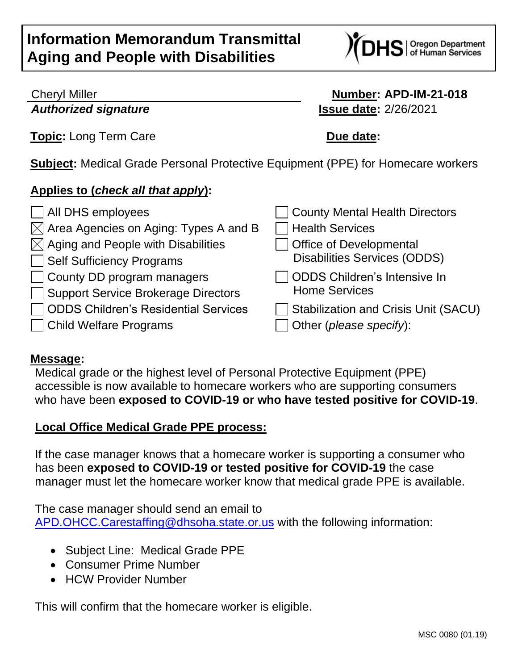# **Information Memorandum Transmittal Aging and People with Disabilities**



### Cheryl Miller **Number: APD-IM-21-018** *Authorized signature* **Issue date:** 2/26/2021

**Topic:** Long Term Care **Due date:** 

**Subject:** Medical Grade Personal Protective Equipment (PPE) for Homecare workers

# **Applies to (***check all that apply***):**

| All DHS employees                                           | County Mental Health Directors              |
|-------------------------------------------------------------|---------------------------------------------|
| $\boxtimes$ Area Agencies on Aging: Types A and B           | Health Services                             |
| $\boxtimes$ Aging and People with Disabilities              | <b>Office of Developmental</b>              |
| Self Sufficiency Programs                                   | <b>Disabilities Services (ODDS)</b>         |
| County DD program managers                                  | ODDS Children's Intensive In                |
| Support Service Brokerage Directors                         | <b>Home Services</b>                        |
| <b>ODDS Children's Residential Services</b><br>$\mathbf{I}$ | <b>Stabilization and Crisis Unit (SACU)</b> |
| Child Welfare Programs                                      | Other (please specify):                     |
|                                                             |                                             |

#### **Message:**

Medical grade or the highest level of Personal Protective Equipment (PPE) accessible is now available to homecare workers who are supporting consumers who have been **exposed to COVID-19 or who have tested positive for COVID-19**.

#### **Local Office Medical Grade PPE process:**

If the case manager knows that a homecare worker is supporting a consumer who has been **exposed to COVID-19 or tested positive for COVID-19** the case manager must let the homecare worker know that medical grade PPE is available.

The case manager should send an email to [APD.OHCC.Carestaffing@dhsoha.state.or.us](mailto:APD.OHCC.Carestaffing@dhsoha.state.or.us) with the following information:

- Subject Line: Medical Grade PPE
- Consumer Prime Number
- HCW Provider Number

This will confirm that the homecare worker is eligible.